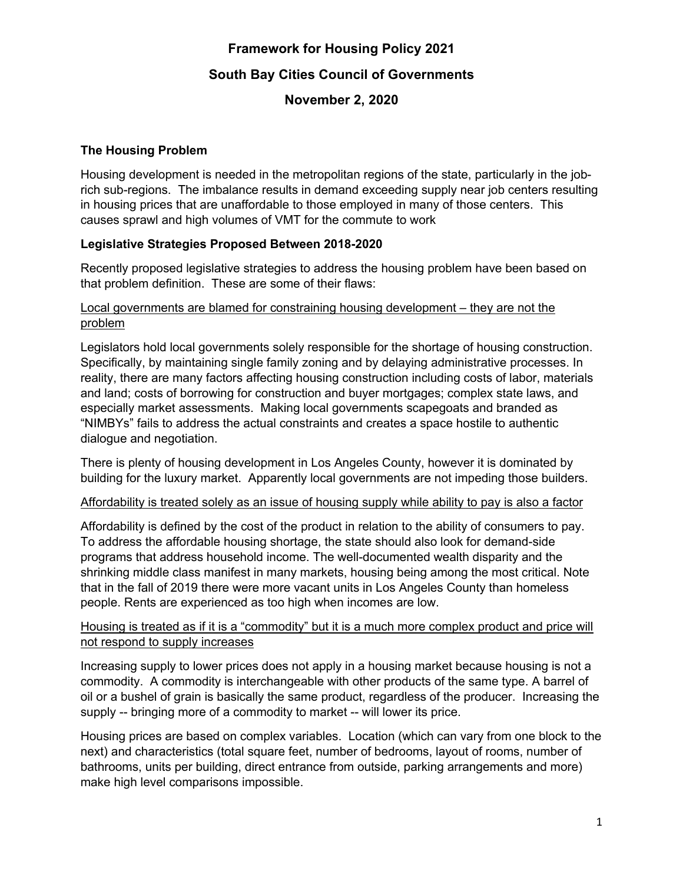# **Framework for Housing Policy 2021 South Bay Cities Council of Governments**

## **November 2, 2020**

## **The Housing Problem**

Housing development is needed in the metropolitan regions of the state, particularly in the jobrich sub-regions. The imbalance results in demand exceeding supply near job centers resulting in housing prices that are unaffordable to those employed in many of those centers. This causes sprawl and high volumes of VMT for the commute to work

## **Legislative Strategies Proposed Between 2018-2020**

Recently proposed legislative strategies to address the housing problem have been based on that problem definition. These are some of their flaws:

### Local governments are blamed for constraining housing development – they are not the problem

Legislators hold local governments solely responsible for the shortage of housing construction. Specifically, by maintaining single family zoning and by delaying administrative processes. In reality, there are many factors affecting housing construction including costs of labor, materials and land; costs of borrowing for construction and buyer mortgages; complex state laws, and especially market assessments. Making local governments scapegoats and branded as "NIMBYs" fails to address the actual constraints and creates a space hostile to authentic dialogue and negotiation.

There is plenty of housing development in Los Angeles County, however it is dominated by building for the luxury market. Apparently local governments are not impeding those builders.

## Affordability is treated solely as an issue of housing supply while ability to pay is also a factor

Affordability is defined by the cost of the product in relation to the ability of consumers to pay. To address the affordable housing shortage, the state should also look for demand-side programs that address household income. The well-documented wealth disparity and the shrinking middle class manifest in many markets, housing being among the most critical. Note that in the fall of 2019 there were more vacant units in Los Angeles County than homeless people. Rents are experienced as too high when incomes are low.

#### Housing is treated as if it is a "commodity" but it is a much more complex product and price will not respond to supply increases

Increasing supply to lower prices does not apply in a housing market because housing is not a commodity. A commodity is interchangeable with other products of the same type. A barrel of oil or a bushel of grain is basically the same product, regardless of the producer. Increasing the supply -- bringing more of a commodity to market -- will lower its price.

Housing prices are based on complex variables. Location (which can vary from one block to the next) and characteristics (total square feet, number of bedrooms, layout of rooms, number of bathrooms, units per building, direct entrance from outside, parking arrangements and more) make high level comparisons impossible.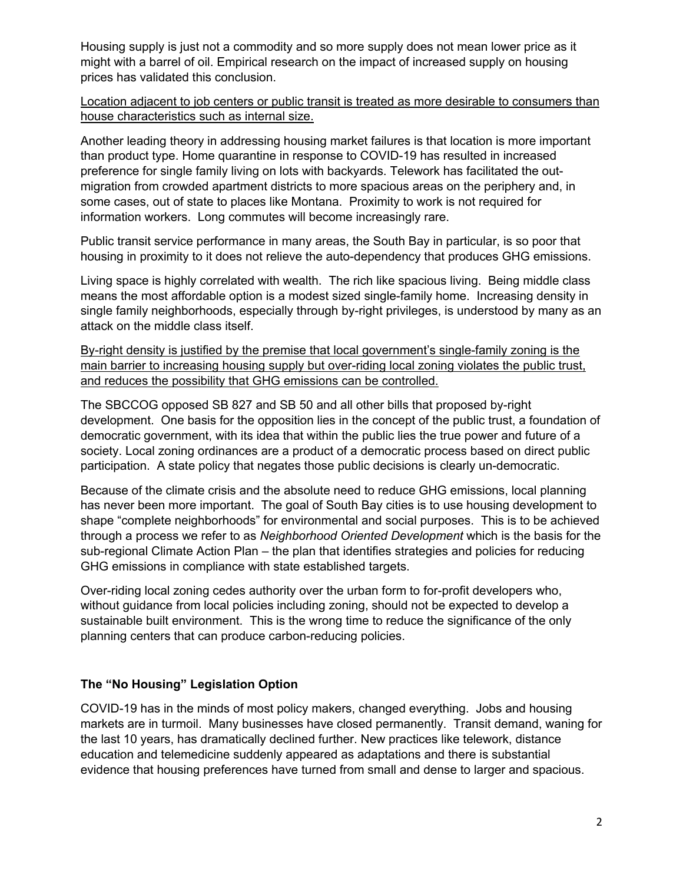Housing supply is just not a commodity and so more supply does not mean lower price as it might with a barrel of oil. Empirical research on the impact of increased supply on housing prices has validated this conclusion.

Location adjacent to job centers or public transit is treated as more desirable to consumers than house characteristics such as internal size.

Another leading theory in addressing housing market failures is that location is more important than product type. Home quarantine in response to COVID-19 has resulted in increased preference for single family living on lots with backyards. Telework has facilitated the outmigration from crowded apartment districts to more spacious areas on the periphery and, in some cases, out of state to places like Montana. Proximity to work is not required for information workers. Long commutes will become increasingly rare.

Public transit service performance in many areas, the South Bay in particular, is so poor that housing in proximity to it does not relieve the auto-dependency that produces GHG emissions.

Living space is highly correlated with wealth. The rich like spacious living. Being middle class means the most affordable option is a modest sized single-family home. Increasing density in single family neighborhoods, especially through by-right privileges, is understood by many as an attack on the middle class itself.

By-right density is justified by the premise that local government's single-family zoning is the main barrier to increasing housing supply but over-riding local zoning violates the public trust, and reduces the possibility that GHG emissions can be controlled.

The SBCCOG opposed SB 827 and SB 50 and all other bills that proposed by-right development. One basis for the opposition lies in the concept of the public trust, a foundation of democratic government, with its idea that within the public lies the true power and future of a society. Local zoning ordinances are a product of a democratic process based on direct public participation. A state policy that negates those public decisions is clearly un-democratic.

Because of the climate crisis and the absolute need to reduce GHG emissions, local planning has never been more important. The goal of South Bay cities is to use housing development to shape "complete neighborhoods" for environmental and social purposes. This is to be achieved through a process we refer to as *Neighborhood Oriented Development* which is the basis for the sub-regional Climate Action Plan – the plan that identifies strategies and policies for reducing GHG emissions in compliance with state established targets.

Over-riding local zoning cedes authority over the urban form to for-profit developers who, without guidance from local policies including zoning, should not be expected to develop a sustainable built environment. This is the wrong time to reduce the significance of the only planning centers that can produce carbon-reducing policies.

## **The "No Housing" Legislation Option**

COVID-19 has in the minds of most policy makers, changed everything. Jobs and housing markets are in turmoil. Many businesses have closed permanently. Transit demand, waning for the last 10 years, has dramatically declined further. New practices like telework, distance education and telemedicine suddenly appeared as adaptations and there is substantial evidence that housing preferences have turned from small and dense to larger and spacious.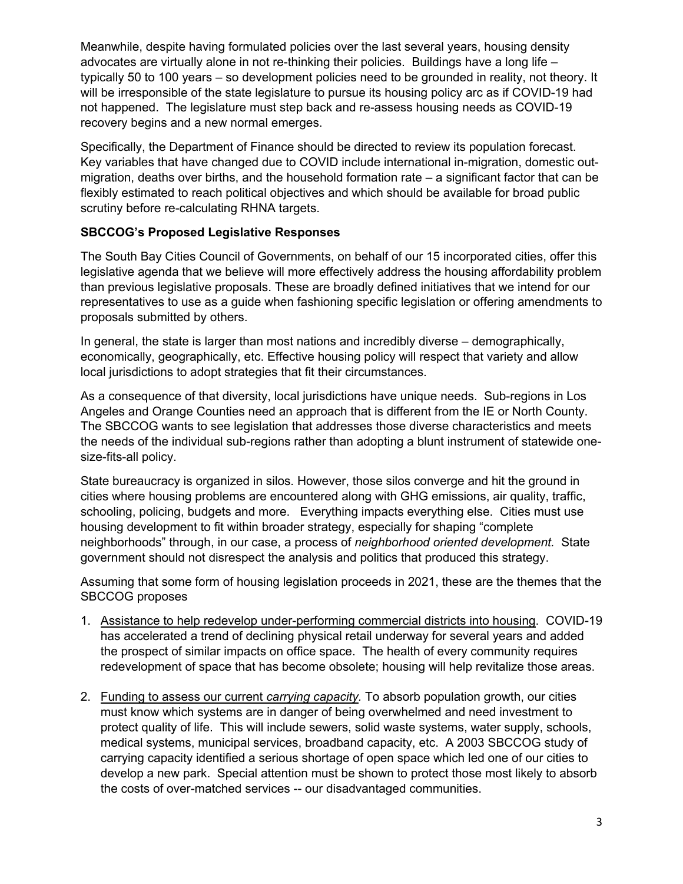Meanwhile, despite having formulated policies over the last several years, housing density advocates are virtually alone in not re-thinking their policies. Buildings have a long life – typically 50 to 100 years – so development policies need to be grounded in reality, not theory. It will be irresponsible of the state legislature to pursue its housing policy arc as if COVID-19 had not happened. The legislature must step back and re-assess housing needs as COVID-19 recovery begins and a new normal emerges.

Specifically, the Department of Finance should be directed to review its population forecast. Key variables that have changed due to COVID include international in-migration, domestic outmigration, deaths over births, and the household formation rate – a significant factor that can be flexibly estimated to reach political objectives and which should be available for broad public scrutiny before re-calculating RHNA targets.

## **SBCCOG's Proposed Legislative Responses**

The South Bay Cities Council of Governments, on behalf of our 15 incorporated cities, offer this legislative agenda that we believe will more effectively address the housing affordability problem than previous legislative proposals. These are broadly defined initiatives that we intend for our representatives to use as a guide when fashioning specific legislation or offering amendments to proposals submitted by others.

In general, the state is larger than most nations and incredibly diverse – demographically, economically, geographically, etc. Effective housing policy will respect that variety and allow local jurisdictions to adopt strategies that fit their circumstances.

As a consequence of that diversity, local jurisdictions have unique needs. Sub-regions in Los Angeles and Orange Counties need an approach that is different from the IE or North County. The SBCCOG wants to see legislation that addresses those diverse characteristics and meets the needs of the individual sub-regions rather than adopting a blunt instrument of statewide onesize-fits-all policy.

State bureaucracy is organized in silos. However, those silos converge and hit the ground in cities where housing problems are encountered along with GHG emissions, air quality, traffic, schooling, policing, budgets and more. Everything impacts everything else. Cities must use housing development to fit within broader strategy, especially for shaping "complete neighborhoods" through, in our case, a process of *neighborhood oriented development.* State government should not disrespect the analysis and politics that produced this strategy.

Assuming that some form of housing legislation proceeds in 2021, these are the themes that the SBCCOG proposes

- 1. Assistance to help redevelop under-performing commercial districts into housing. COVID-19 has accelerated a trend of declining physical retail underway for several years and added the prospect of similar impacts on office space. The health of every community requires redevelopment of space that has become obsolete; housing will help revitalize those areas.
- 2. Funding to assess our current *carrying capacity.* To absorb population growth, our cities must know which systems are in danger of being overwhelmed and need investment to protect quality of life. This will include sewers, solid waste systems, water supply, schools, medical systems, municipal services, broadband capacity, etc. A 2003 SBCCOG study of carrying capacity identified a serious shortage of open space which led one of our cities to develop a new park. Special attention must be shown to protect those most likely to absorb the costs of over-matched services -- our disadvantaged communities.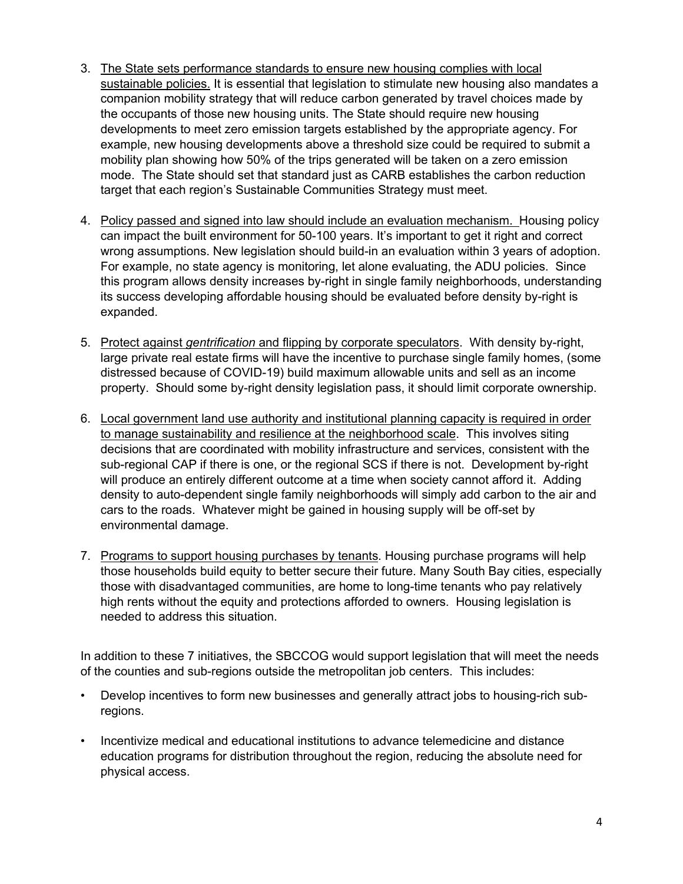- 3. The State sets performance standards to ensure new housing complies with local sustainable policies. It is essential that legislation to stimulate new housing also mandates a companion mobility strategy that will reduce carbon generated by travel choices made by the occupants of those new housing units. The State should require new housing developments to meet zero emission targets established by the appropriate agency. For example, new housing developments above a threshold size could be required to submit a mobility plan showing how 50% of the trips generated will be taken on a zero emission mode. The State should set that standard just as CARB establishes the carbon reduction target that each region's Sustainable Communities Strategy must meet.
- 4. Policy passed and signed into law should include an evaluation mechanism. Housing policy can impact the built environment for 50-100 years. It's important to get it right and correct wrong assumptions. New legislation should build-in an evaluation within 3 years of adoption. For example, no state agency is monitoring, let alone evaluating, the ADU policies. Since this program allows density increases by-right in single family neighborhoods, understanding its success developing affordable housing should be evaluated before density by-right is expanded.
- 5. Protect against *gentrification* and flipping by corporate speculators. With density by-right, large private real estate firms will have the incentive to purchase single family homes, (some distressed because of COVID-19) build maximum allowable units and sell as an income property. Should some by-right density legislation pass, it should limit corporate ownership.
- 6. Local government land use authority and institutional planning capacity is required in order to manage sustainability and resilience at the neighborhood scale. This involves siting decisions that are coordinated with mobility infrastructure and services, consistent with the sub-regional CAP if there is one, or the regional SCS if there is not. Development by-right will produce an entirely different outcome at a time when society cannot afford it. Adding density to auto-dependent single family neighborhoods will simply add carbon to the air and cars to the roads. Whatever might be gained in housing supply will be off-set by environmental damage.
- 7. Programs to support housing purchases by tenants. Housing purchase programs will help those households build equity to better secure their future. Many South Bay cities, especially those with disadvantaged communities, are home to long-time tenants who pay relatively high rents without the equity and protections afforded to owners. Housing legislation is needed to address this situation.

In addition to these 7 initiatives, the SBCCOG would support legislation that will meet the needs of the counties and sub-regions outside the metropolitan job centers. This includes:

- Develop incentives to form new businesses and generally attract jobs to housing-rich subregions.
- Incentivize medical and educational institutions to advance telemedicine and distance education programs for distribution throughout the region, reducing the absolute need for physical access.